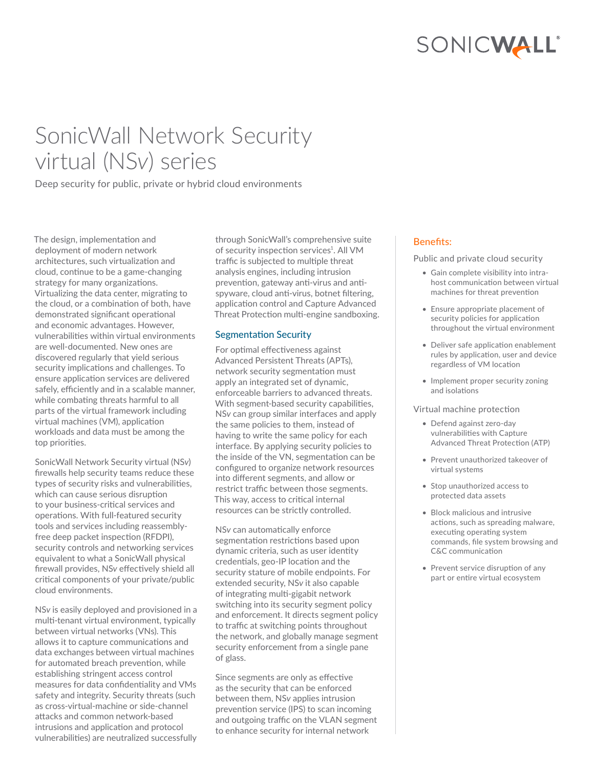# SONICWALL®

# SonicWall Network Security virtual (NS*v*) series

Deep security for public, private or hybrid cloud environments

The design, implementation and deployment of modern network architectures, such virtualization and cloud, continue to be a game-changing strategy for many organizations. Virtualizing the data center, migrating to the cloud, or a combination of both, have demonstrated significant operational and economic advantages. However, vulnerabilities within virtual environments are well-documented. New ones are discovered regularly that yield serious security implications and challenges. To ensure application services are delivered safely, efficiently and in a scalable manner, while combating threats harmful to all parts of the virtual framework including virtual machines (VM), application workloads and data must be among the top priorities.

SonicWall Network Security virtual (NS*v*) firewalls help security teams reduce these types of security risks and vulnerabilities, which can cause serious disruption to your business-critical services and operations. With full-featured security tools and services including reassemblyfree deep packet inspection (RFDPI), security controls and networking services equivalent to what a SonicWall physical firewall provides, NS*v* effectively shield all critical components of your private/public cloud environments.

NS*v* is easily deployed and provisioned in a multi-tenant virtual environment, typically between virtual networks (VNs). This allows it to capture communications and data exchanges between virtual machines for automated breach prevention, while establishing stringent access control measures for data confidentiality and VMs safety and integrity. Security threats (such as cross-virtual-machine or side-channel attacks and common network-based intrusions and application and protocol vulnerabilities) are neutralized successfully

through SonicWall's comprehensive suite of security inspection services<sup>1</sup>. All VM traffic is subjected to multiple threat analysis engines, including intrusion prevention, gateway anti-virus and antispyware, cloud anti-virus, botnet filtering, application control and Capture Advanced Threat Protection multi-engine sandboxing.

# Segmentation Security

For optimal effectiveness against Advanced Persistent Threats (APTs), network security segmentation must apply an integrated set of dynamic, enforceable barriers to advanced threats. With segment-based security capabilities, NS*v* can group similar interfaces and apply the same policies to them, instead of having to write the same policy for each interface. By applying security policies to the inside of the VN, segmentation can be configured to organize network resources into different segments, and allow or restrict traffic between those segments. This way, access to critical internal resources can be strictly controlled.

NS*v* can automatically enforce segmentation restrictions based upon dynamic criteria, such as user identity credentials, geo-IP location and the security stature of mobile endpoints. For extended security, NS*v* it also capable of integrating multi-gigabit network switching into its security segment policy and enforcement. It directs segment policy to traffic at switching points throughout the network, and globally manage segment security enforcement from a single pane of glass.

Since segments are only as effective as the security that can be enforced between them, NS*v* applies intrusion prevention service (IPS) to scan incoming and outgoing traffic on the VLAN segment to enhance security for internal network

### Benefits:

Public and private cloud security

- Gain complete visibility into intrahost communication between virtual machines for threat prevention
- Ensure appropriate placement of security policies for application throughout the virtual environment
- Deliver safe application enablement rules by application, user and device regardless of VM location
- Implement proper security zoning and isolations

#### Virtual machine protection

- Defend against zero-day vulnerabilities with Capture Advanced Threat Protection (ATP)
- Prevent unauthorized takeover of virtual systems
- Stop unauthorized access to protected data assets
- Block malicious and intrusive actions, such as spreading malware, executing operating system commands, file system browsing and C&C communication
- Prevent service disruption of any part or entire virtual ecosystem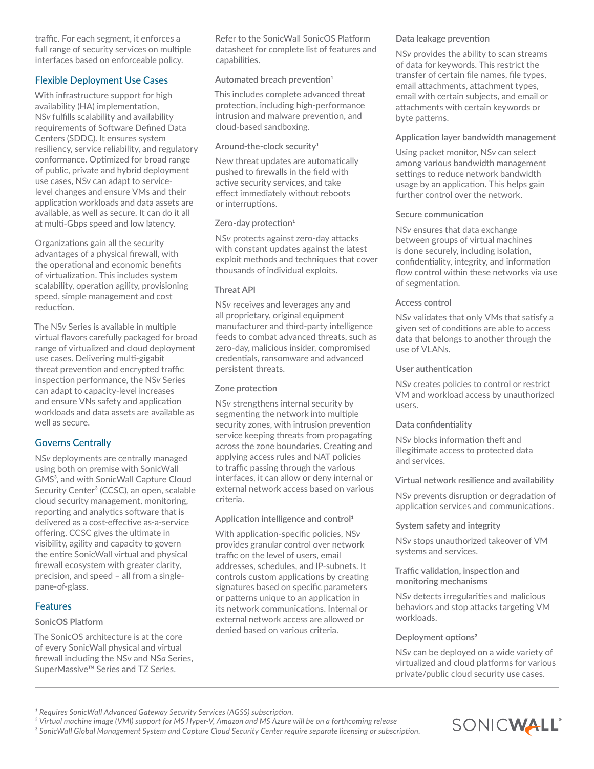traffic. For each segment, it enforces a full range of security services on multiple interfaces based on enforceable policy.

## Flexible Deployment Use Cases

With infrastructure support for high availability (HA) implementation, NS*v* fulfills scalability and availability requirements of Software Defined Data Centers (SDDC). It ensures system resiliency, service reliability, and regulatory conformance. Optimized for broad range of public, private and hybrid deployment use cases, NS*v* can adapt to servicelevel changes and ensure VMs and their application workloads and data assets are available, as well as secure. It can do it all at multi-Gbps speed and low latency.

Organizations gain all the security advantages of a physical firewall, with the operational and economic benefits of virtualization. This includes system scalability, operation agility, provisioning speed, simple management and cost reduction.

The NS*v* Series is available in multiple virtual flavors carefully packaged for broad range of virtualized and cloud deployment use cases. Delivering multi-gigabit threat prevention and encrypted traffic inspection performance, the NS*v* Series can adapt to capacity-level increases and ensure VNs safety and application workloads and data assets are available as well as secure.

## Governs Centrally

NS*v* deployments are centrally managed using both on premise with SonicWall GMS<sup>3</sup>, and with SonicWall Capture Cloud Security Center<sup>3</sup> (CCSC), an open, scalable cloud security management, monitoring, reporting and analytics software that is delivered as a cost-effective as-a-service offering. CCSC gives the ultimate in visibility, agility and capacity to govern the entire SonicWall virtual and physical firewall ecosystem with greater clarity, precision, and speed – all from a singlepane-of-glass.

## **Features**

#### **SonicOS Platform**

The SonicOS architecture is at the core of every SonicWall physical and virtual firewall including the NSv and NS*a* Series, SuperMassive™ Series and TZ Series.

Refer to the SonicWall SonicOS Platform datasheet for complete list of features and capabilities.

#### **Automated breach prevention1**

This includes complete advanced threat protection, including high-performance intrusion and malware prevention, and cloud-based sandboxing.

#### **Around-the-clock security1**

New threat updates are automatically pushed to firewalls in the field with active security services, and take effect immediately without reboots or interruptions.

#### **Zero-day protection1**

NS*v* protects against zero-day attacks with constant updates against the latest exploit methods and techniques that cover thousands of individual exploits.

#### **Threat API**

NS*v* receives and leverages any and all proprietary, original equipment manufacturer and third-party intelligence feeds to combat advanced threats, such as zero-day, malicious insider, compromised credentials, ransomware and advanced persistent threats.

#### **Zone protection**

NS*v* strengthens internal security by segmenting the network into multiple security zones, with intrusion prevention service keeping threats from propagating across the zone boundaries. Creating and applying access rules and NAT policies to traffic passing through the various interfaces, it can allow or deny internal or external network access based on various criteria.

#### **Application intelligence and control1**

With application-specific policies, NS*v* provides granular control over network traffic on the level of users, email addresses, schedules, and IP-subnets. It controls custom applications by creating signatures based on specific parameters or patterns unique to an application in its network communications. Internal or external network access are allowed or denied based on various criteria.

#### **Data leakage prevention**

NS*v* provides the ability to scan streams of data for keywords. This restrict the transfer of certain file names, file types, email attachments, attachment types, email with certain subjects, and email or attachments with certain keywords or byte patterns.

#### **Application layer bandwidth management**

Using packet monitor, NS*v* can select among various bandwidth management settings to reduce network bandwidth usage by an application. This helps gain further control over the network.

#### **Secure communication**

NS*v* ensures that data exchange between groups of virtual machines is done securely, including isolation, confidentiality, integrity, and information flow control within these networks via use of segmentation.

#### **Access control**

NS*v* validates that only VMs that satisfy a given set of conditions are able to access data that belongs to another through the use of VLANs.

#### **User authentication**

NS*v* creates policies to control or restrict VM and workload access by unauthorized users.

#### **Data confidentiality**

NS*v* blocks information theft and illegitimate access to protected data and services.

#### **Virtual network resilience and availability**

NS*v* prevents disruption or degradation of application services and communications.

#### **System safety and integrity**

NS*v* stops unauthorized takeover of VM systems and services.

#### **Traffic validation, inspection and monitoring mechanisms**

NS*v* detects irregularities and malicious behaviors and stop attacks targeting VM workloads.

#### **Deployment options2**

NS*v* can be deployed on a wide variety of virtualized and cloud platforms for various private/public cloud security use cases.

*² Virtual machine image (VMI) support for MS Hyper-V, Amazon and MS Azure will be on a forthcoming release*

*³ SonicWall Global Management System and Capture Cloud Security Center require separate licensing or subscription.*



<sup>&</sup>lt;sup>1</sup> Requires SonicWall Advanced Gateway Security Services (AGSS) subscription.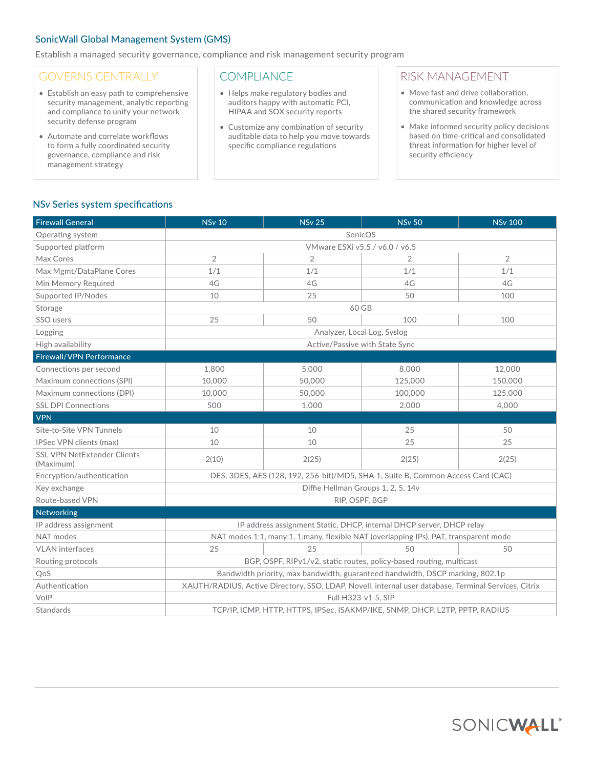## SonicWall Global Management System (GMS)

Establish a managed security governance, compliance and risk management security program

# GOVERNS CENTRALLY

- Establish an easy path to comprehensive security management, analytic reporting and compliance to unify your network security defense program
- Automate and correlate workflows to form a fully coordinated security governance, compliance and risk management strategy

# **COMPLIANCE**

- Helps make regulatory bodies and auditors happy with automatic PCI, HIPAA and SOX security reports
- Customize any combination of security auditable data to help you move towards specific compliance regulations

# RISK MANAGEMENT

- Move fast and drive collaboration, communication and knowledge across the shared security framework
- Make informed security policy decisions based on time-critical and consolidated threat information for higher level of security efficiency

#### NS*v* Series system specifications

| <b>Firewall General</b>                         | <b>NSv 10</b>                                                                                        | <b>NSv 25</b>  | <b>NSv 50</b>  | <b>NSv 100</b> |  |  |
|-------------------------------------------------|------------------------------------------------------------------------------------------------------|----------------|----------------|----------------|--|--|
| Operating system                                | SonicOS                                                                                              |                |                |                |  |  |
| Supported platform                              | VMware ESXi v5.5 / v6.0 / v6.5                                                                       |                |                |                |  |  |
| Max Cores                                       | $\overline{2}$                                                                                       | $\overline{2}$ | $\overline{2}$ | $\overline{2}$ |  |  |
| Max Mgmt/DataPlane Cores                        | 1/1                                                                                                  | 1/1            | 1/1            | 1/1            |  |  |
| Min Memory Required                             | 4G                                                                                                   | 4G             | 4G             | 4G             |  |  |
| Supported IP/Nodes                              | 10                                                                                                   | 25             | 50             | 100            |  |  |
| Storage                                         | 60 GB                                                                                                |                |                |                |  |  |
| SSO users                                       | 25                                                                                                   | 50             | 100            | 100            |  |  |
| Logging                                         | Analyzer, Local Log, Syslog                                                                          |                |                |                |  |  |
| High availability                               | Active/Passive with State Sync                                                                       |                |                |                |  |  |
| Firewall/VPN Performance                        |                                                                                                      |                |                |                |  |  |
| Connections per second                          | 1,800                                                                                                | 5,000          | 8,000          | 12,000         |  |  |
| Maximum connections (SPI)                       | 10.000                                                                                               | 50,000         | 125,000        | 150,000        |  |  |
| Maximum connections (DPI)                       | 10.000                                                                                               | 50,000         | 100,000        | 125,000        |  |  |
| <b>SSL DPI Connections</b>                      | 500                                                                                                  | 1,000          | 2,000          | 4,000          |  |  |
| <b>VPN</b>                                      |                                                                                                      |                |                |                |  |  |
| Site-to-Site VPN Tunnels                        | 10                                                                                                   | 10             | 25             | 50             |  |  |
| IPSec VPN clients (max)                         | 10                                                                                                   | 10             | 25             | 25             |  |  |
| <b>SSL VPN NetExtender Clients</b><br>(Maximum) | 2(10)                                                                                                | 2(25)          | 2(25)          | 2(25)          |  |  |
| Encryption/authentication                       | DES, 3DES, AES (128, 192, 256-bit)/MD5, SHA-1, Suite B, Common Access Card (CAC)                     |                |                |                |  |  |
| Key exchange                                    | Diffie Hellman Groups 1, 2, 5, 14v                                                                   |                |                |                |  |  |
| Route-based VPN                                 | RIP, OSPF, BGP                                                                                       |                |                |                |  |  |
| Networking                                      |                                                                                                      |                |                |                |  |  |
| IP address assignment                           | IP address assignment Static, DHCP, internal DHCP server, DHCP relay                                 |                |                |                |  |  |
| NAT modes                                       | NAT modes 1:1, many:1, 1:many, flexible NAT (overlapping IPs), PAT, transparent mode                 |                |                |                |  |  |
| <b>VLAN</b> interfaces                          | 25                                                                                                   | 25             | 50             | 50             |  |  |
| Routing protocols                               | BGP, OSPF, RIPv1/v2, static routes, policy-based routing, multicast                                  |                |                |                |  |  |
| QoS                                             | Bandwidth priority, max bandwidth, guaranteed bandwidth, DSCP marking, 802.1p                        |                |                |                |  |  |
| Authentication                                  | XAUTH/RADIUS, Active Directory, SSO, LDAP, Novell, internal user database, Terminal Services, Citrix |                |                |                |  |  |
| VolP                                            | Full H323-v1-5, SIP                                                                                  |                |                |                |  |  |
| Standards                                       | TCP/IP, ICMP, HTTP, HTTPS, IPSec, ISAKMP/IKE, SNMP, DHCP, L2TP, PPTP, RADIUS                         |                |                |                |  |  |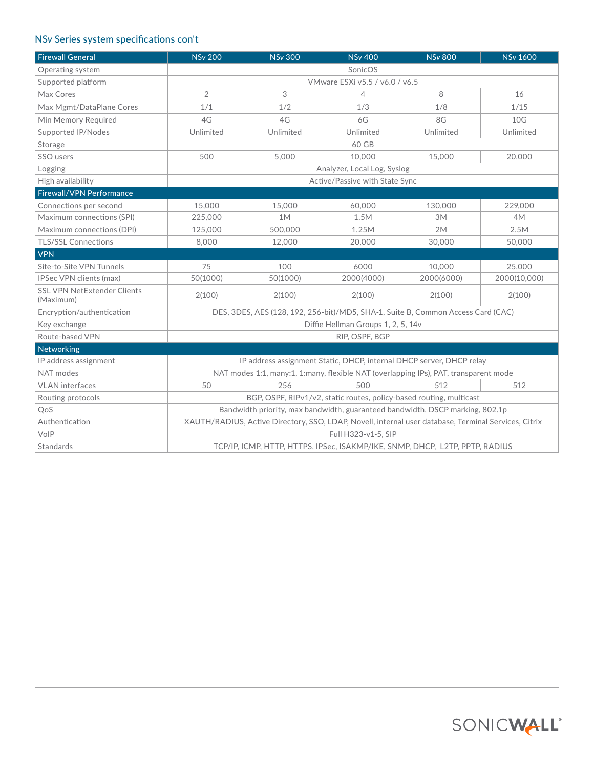# NS*v* Series system specifications con't

| <b>Firewall General</b>                         | <b>NSv 200</b>                                                                                       | <b>NSv 300</b> | <b>NSv 400</b> | <b>NSv 800</b> | <b>NSv 1600</b> |  |
|-------------------------------------------------|------------------------------------------------------------------------------------------------------|----------------|----------------|----------------|-----------------|--|
| Operating system                                | SonicOS                                                                                              |                |                |                |                 |  |
| Supported platform                              | VMware ESXi v5.5 / v6.0 / v6.5                                                                       |                |                |                |                 |  |
| Max Cores                                       | $\overline{2}$                                                                                       | 3              | 4              | 8              | 16              |  |
| Max Mgmt/DataPlane Cores                        | 1/1                                                                                                  | 1/2            | 1/3            | 1/8            | 1/15            |  |
| Min Memory Required                             | 4G                                                                                                   | 4G             | 6G             | 8G             | 10 <sub>G</sub> |  |
| Supported IP/Nodes                              | Unlimited                                                                                            | Unlimited      | Unlimited      | Unlimited      | Unlimited       |  |
| Storage                                         | 60 GB                                                                                                |                |                |                |                 |  |
| SSO users                                       | 500                                                                                                  | 5.000          | 10.000         | 15,000         | 20,000          |  |
| Logging                                         | Analyzer, Local Log, Syslog                                                                          |                |                |                |                 |  |
| High availability                               | Active/Passive with State Sync                                                                       |                |                |                |                 |  |
| <b>Firewall/VPN Performance</b>                 |                                                                                                      |                |                |                |                 |  |
| Connections per second                          | 15,000                                                                                               | 15,000         | 60,000         | 130,000        | 229,000         |  |
| Maximum connections (SPI)                       | 225,000                                                                                              | 1M             | 1.5M           | 3M             | 4M              |  |
| Maximum connections (DPI)                       | 125,000                                                                                              | 500,000        | 1.25M          | 2M             | 2.5M            |  |
| <b>TLS/SSL Connections</b>                      | 8,000                                                                                                | 12,000         | 20,000         | 30,000         | 50,000          |  |
| <b>VPN</b>                                      |                                                                                                      |                |                |                |                 |  |
| Site-to-Site VPN Tunnels                        | 75                                                                                                   | 100            | 6000           | 10,000         | 25,000          |  |
| IPSec VPN clients (max)                         | 50(1000)                                                                                             | 50(1000)       | 2000(4000)     | 2000(6000)     | 2000(10.000)    |  |
| <b>SSL VPN NetExtender Clients</b><br>(Maximum) | 2(100)                                                                                               | 2(100)         | 2(100)         | 2(100)         | 2(100)          |  |
| Encryption/authentication                       | DES, 3DES, AES (128, 192, 256-bit)/MD5, SHA-1, Suite B, Common Access Card (CAC)                     |                |                |                |                 |  |
| Key exchange                                    | Diffie Hellman Groups 1, 2, 5, 14v                                                                   |                |                |                |                 |  |
| Route-based VPN                                 | RIP, OSPF, BGP                                                                                       |                |                |                |                 |  |
| Networking                                      |                                                                                                      |                |                |                |                 |  |
| IP address assignment                           | IP address assignment Static, DHCP, internal DHCP server, DHCP relay                                 |                |                |                |                 |  |
| NAT modes                                       | NAT modes 1:1, many:1, 1:many, flexible NAT (overlapping IPs), PAT, transparent mode                 |                |                |                |                 |  |
| <b>VLAN</b> interfaces                          | 50                                                                                                   | 256            | 500            | 512            | 512             |  |
| Routing protocols                               | BGP, OSPF, RIPv1/v2, static routes, policy-based routing, multicast                                  |                |                |                |                 |  |
| QoS                                             | Bandwidth priority, max bandwidth, guaranteed bandwidth, DSCP marking, 802.1p                        |                |                |                |                 |  |
| Authentication                                  | XAUTH/RADIUS, Active Directory, SSO, LDAP, Novell, internal user database, Terminal Services, Citrix |                |                |                |                 |  |
| VoIP                                            | Full H323-v1-5, SIP                                                                                  |                |                |                |                 |  |
| Standards                                       | TCP/IP, ICMP, HTTP, HTTPS, IPSec, ISAKMP/IKE, SNMP, DHCP, L2TP, PPTP, RADIUS                         |                |                |                |                 |  |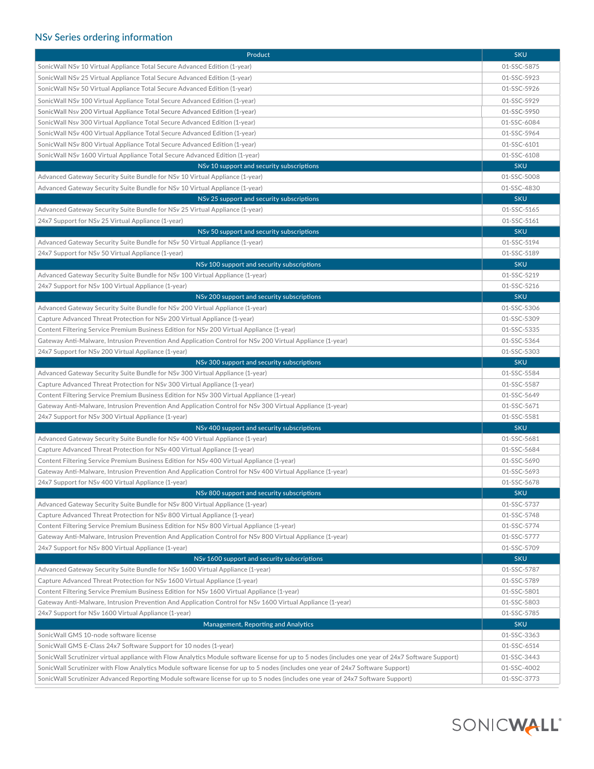# NS*v* Series ordering information

| Product                                                                                                                                            |             |  |  |  |
|----------------------------------------------------------------------------------------------------------------------------------------------------|-------------|--|--|--|
| SonicWall NSv 10 Virtual Appliance Total Secure Advanced Edition (1-year)                                                                          | 01-SSC-5875 |  |  |  |
| SonicWall NSv 25 Virtual Appliance Total Secure Advanced Edition (1-year)                                                                          | 01-SSC-5923 |  |  |  |
| SonicWall NSv 50 Virtual Appliance Total Secure Advanced Edition (1-year)                                                                          |             |  |  |  |
| SonicWall NSv 100 Virtual Appliance Total Secure Advanced Edition (1-year)                                                                         |             |  |  |  |
| SonicWall Nsv 200 Virtual Appliance Total Secure Advanced Edition (1-year)                                                                         |             |  |  |  |
| SonicWall Nsv 300 Virtual Appliance Total Secure Advanced Edition (1-year)                                                                         | 01-SSC-6084 |  |  |  |
| SonicWall NSv 400 Virtual Appliance Total Secure Advanced Edition (1-year)                                                                         |             |  |  |  |
| SonicWall NSv 800 Virtual Appliance Total Secure Advanced Edition (1-year)                                                                         | 01-SSC-6101 |  |  |  |
| SonicWall NSv 1600 Virtual Appliance Total Secure Advanced Edition (1-year)                                                                        |             |  |  |  |
| NSv 10 support and security subscriptions                                                                                                          | <b>SKU</b>  |  |  |  |
| Advanced Gateway Security Suite Bundle for NSv 10 Virtual Appliance (1-year)                                                                       | 01-SSC-5008 |  |  |  |
| Advanced Gateway Security Suite Bundle for NSv 10 Virtual Appliance (1-year)                                                                       |             |  |  |  |
| NSv 25 support and security subscriptions                                                                                                          | <b>SKU</b>  |  |  |  |
| Advanced Gateway Security Suite Bundle for NSv 25 Virtual Appliance (1-year)                                                                       | 01-SSC-5165 |  |  |  |
| 24x7 Support for NSv 25 Virtual Appliance (1-year)                                                                                                 | 01-SSC-5161 |  |  |  |
| NSv 50 support and security subscriptions                                                                                                          | <b>SKU</b>  |  |  |  |
| Advanced Gateway Security Suite Bundle for NSv 50 Virtual Appliance (1-year)                                                                       | 01-SSC-5194 |  |  |  |
| 24x7 Support for NSv 50 Virtual Appliance (1-year)                                                                                                 | 01-SSC-5189 |  |  |  |
| NSv 100 support and security subscriptions                                                                                                         | <b>SKU</b>  |  |  |  |
| Advanced Gateway Security Suite Bundle for NSv 100 Virtual Appliance (1-year)                                                                      | 01-SSC-5219 |  |  |  |
| 24x7 Support for NSv 100 Virtual Appliance (1-year)                                                                                                | 01-SSC-5216 |  |  |  |
| NSv 200 support and security subscriptions                                                                                                         | <b>SKU</b>  |  |  |  |
| Advanced Gateway Security Suite Bundle for NSv 200 Virtual Appliance (1-year)                                                                      | 01-SSC-5306 |  |  |  |
| Capture Advanced Threat Protection for NSv 200 Virtual Appliance (1-year)                                                                          | 01-SSC-5309 |  |  |  |
| Content Filtering Service Premium Business Edition for NSv 200 Virtual Appliance (1-year)                                                          | 01-SSC-5335 |  |  |  |
| Gateway Anti-Malware, Intrusion Prevention And Application Control for NSv 200 Virtual Appliance (1-year)                                          | 01-SSC-5364 |  |  |  |
| 24x7 Support for NSv 200 Virtual Appliance (1-year)                                                                                                | 01-SSC-5303 |  |  |  |
| NSv 300 support and security subscriptions                                                                                                         | <b>SKU</b>  |  |  |  |
| Advanced Gateway Security Suite Bundle for NSv 300 Virtual Appliance (1-year)                                                                      | 01-SSC-5584 |  |  |  |
| Capture Advanced Threat Protection for NSv 300 Virtual Appliance (1-year)                                                                          | 01-SSC-5587 |  |  |  |
| Content Filtering Service Premium Business Edition for NSv 300 Virtual Appliance (1-year)                                                          | 01-SSC-5649 |  |  |  |
| Gateway Anti-Malware, Intrusion Prevention And Application Control for NSv 300 Virtual Appliance (1-year)                                          | 01-SSC-5671 |  |  |  |
| 24x7 Support for NSv 300 Virtual Appliance (1-year)                                                                                                | 01-SSC-5581 |  |  |  |
| NSv 400 support and security subscriptions                                                                                                         | <b>SKU</b>  |  |  |  |
| Advanced Gateway Security Suite Bundle for NSv 400 Virtual Appliance (1-year)                                                                      | 01-SSC-5681 |  |  |  |
| Capture Advanced Threat Protection for NSv 400 Virtual Appliance (1-year)                                                                          | 01-SSC-5684 |  |  |  |
| Content Filtering Service Premium Business Edition for NSv 400 Virtual Appliance (1-year)                                                          | 01-SSC-5690 |  |  |  |
| Gateway Anti-Malware, Intrusion Prevention And Application Control for NSv 400 Virtual Appliance (1-year)                                          | 01-SSC-5693 |  |  |  |
| 24x7 Support for NSv 400 Virtual Appliance (1-year)                                                                                                | 01-SSC-5678 |  |  |  |
| NSv 800 support and security subscriptions                                                                                                         | <b>SKU</b>  |  |  |  |
| Advanced Gateway Security Suite Bundle for NSv 800 Virtual Appliance (1-year)                                                                      | 01-SSC-5737 |  |  |  |
| Capture Advanced Threat Protection for NSv 800 Virtual Appliance (1-year)                                                                          | 01-SSC-5748 |  |  |  |
| Content Filtering Service Premium Business Edition for NSv 800 Virtual Appliance (1-year)                                                          | 01-SSC-5774 |  |  |  |
| Gateway Anti-Malware, Intrusion Prevention And Application Control for NSv 800 Virtual Appliance (1-year)                                          | 01-SSC-5777 |  |  |  |
| 24x7 Support for NSv 800 Virtual Appliance (1-year)                                                                                                | 01-SSC-5709 |  |  |  |
| NSv 1600 support and security subscriptions                                                                                                        | <b>SKU</b>  |  |  |  |
| Advanced Gateway Security Suite Bundle for NSv 1600 Virtual Appliance (1-year)                                                                     | 01-SSC-5787 |  |  |  |
| Capture Advanced Threat Protection for NSv 1600 Virtual Appliance (1-year)                                                                         | 01-SSC-5789 |  |  |  |
| Content Filtering Service Premium Business Edition for NSv 1600 Virtual Appliance (1-year)                                                         |             |  |  |  |
| Gateway Anti-Malware, Intrusion Prevention And Application Control for NSv 1600 Virtual Appliance (1-year)                                         |             |  |  |  |
| 24x7 Support for NSv 1600 Virtual Appliance (1-year)                                                                                               |             |  |  |  |
| Management, Reporting and Analytics                                                                                                                |             |  |  |  |
| SonicWall GMS 10-node software license                                                                                                             | 01-SSC-3363 |  |  |  |
| SonicWall GMS E-Class 24x7 Software Support for 10 nodes (1-year)                                                                                  |             |  |  |  |
| SonicWall Scrutinizer virtual appliance with Flow Analytics Module software license for up to 5 nodes (includes one year of 24x7 Software Support) |             |  |  |  |
| SonicWall Scrutinizer with Flow Analytics Module software license for up to 5 nodes (includes one year of 24x7 Software Support)                   |             |  |  |  |
| SonicWall Scrutinizer Advanced Reporting Module software license for up to 5 nodes (includes one year of 24x7 Software Support)                    |             |  |  |  |